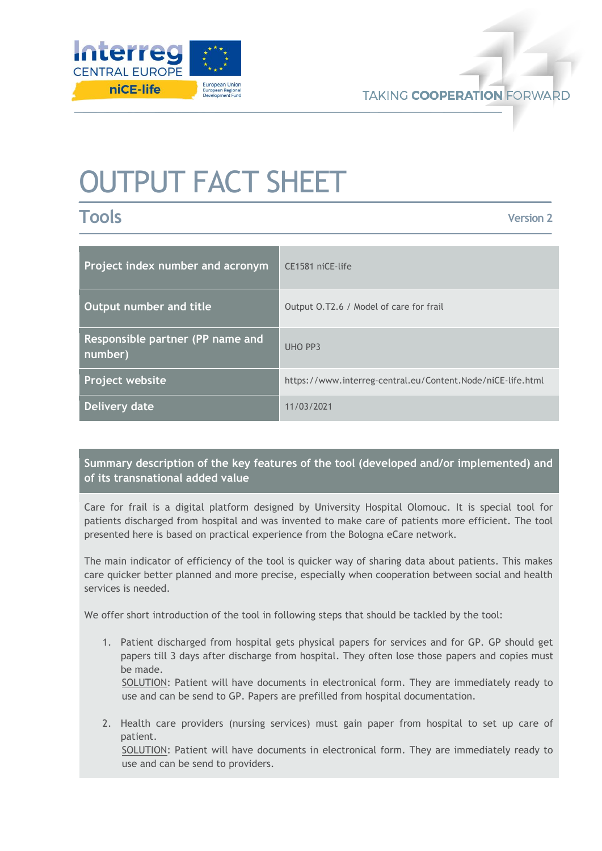

## OUTPUT FACT SHEET

**Tools**

**Version 2**

| Project index number and acronym            | CE1581 niCE-life                                            |
|---------------------------------------------|-------------------------------------------------------------|
| Output number and title                     | Output O.T2.6 / Model of care for frail                     |
| Responsible partner (PP name and<br>number) | UHO PP3                                                     |
| Project website                             | https://www.interreg-central.eu/Content.Node/niCE-life.html |
| Delivery date                               | 11/03/2021                                                  |

**Summary description of the key features of the tool (developed and/or implemented) and of its transnational added value**

Care for frail is a digital platform designed by University Hospital Olomouc. It is special tool for patients discharged from hospital and was invented to make care of patients more efficient. The tool presented here is based on practical experience from the Bologna eCare network.

The main indicator of efficiency of the tool is quicker way of sharing data about patients. This makes care quicker better planned and more precise, especially when cooperation between social and health services is needed.

We offer short introduction of the tool in following steps that should be tackled by the tool:

1. Patient discharged from hospital gets physical papers for services and for GP. GP should get papers till 3 days after discharge from hospital. They often lose those papers and copies must be made.

SOLUTION: Patient will have documents in electronical form. They are immediately ready to use and can be send to GP. Papers are prefilled from hospital documentation.

2. Health care providers (nursing services) must gain paper from hospital to set up care of patient.

SOLUTION: Patient will have documents in electronical form. They are immediately ready to use and can be send to providers.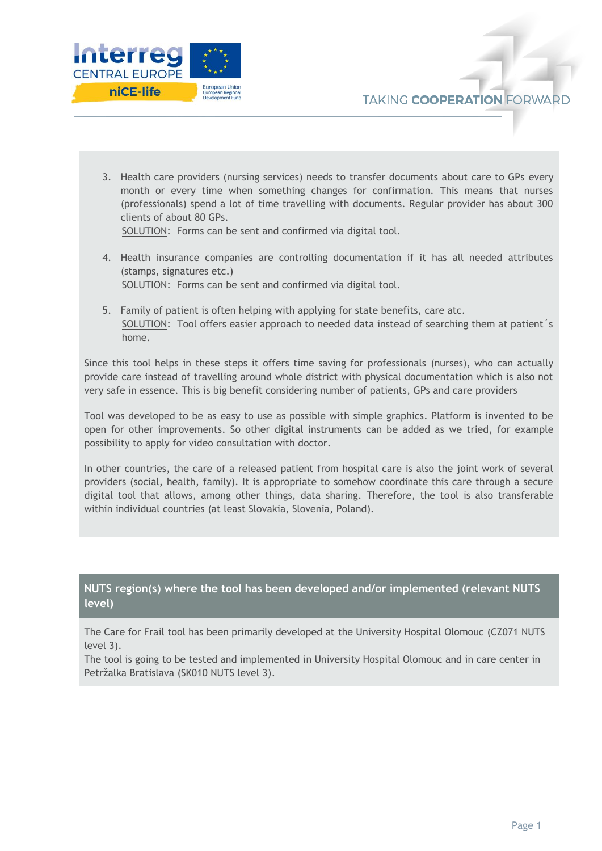

- 3. Health care providers (nursing services) needs to transfer documents about care to GPs every month or every time when something changes for confirmation. This means that nurses (professionals) spend a lot of time travelling with documents. Regular provider has about 300 clients of about 80 GPs. SOLUTION: Forms can be sent and confirmed via digital tool.
- 4. Health insurance companies are controlling documentation if it has all needed attributes (stamps, signatures etc.) SOLUTION: Forms can be sent and confirmed via digital tool.
- 5. Family of patient is often helping with applying for state benefits, care atc. SOLUTION: Tool offers easier approach to needed data instead of searching them at patient´s home.

Since this tool helps in these steps it offers time saving for professionals (nurses), who can actually provide care instead of travelling around whole district with physical documentation which is also not very safe in essence. This is big benefit considering number of patients, GPs and care providers

Tool was developed to be as easy to use as possible with simple graphics. Platform is invented to be open for other improvements. So other digital instruments can be added as we tried, for example possibility to apply for video consultation with doctor.

In other countries, the care of a released patient from hospital care is also the joint work of several providers (social, health, family). It is appropriate to somehow coordinate this care through a secure digital tool that allows, among other things, data sharing. Therefore, the tool is also transferable within individual countries (at least Slovakia, Slovenia, Poland).

## **NUTS region(s) where the tool has been developed and/or implemented (relevant NUTS level)**

The Care for Frail tool has been primarily developed at the University Hospital Olomouc (CZ071 NUTS level 3).

The tool is going to be tested and implemented in University Hospital Olomouc and in care center in Petržalka Bratislava (SK010 NUTS level 3).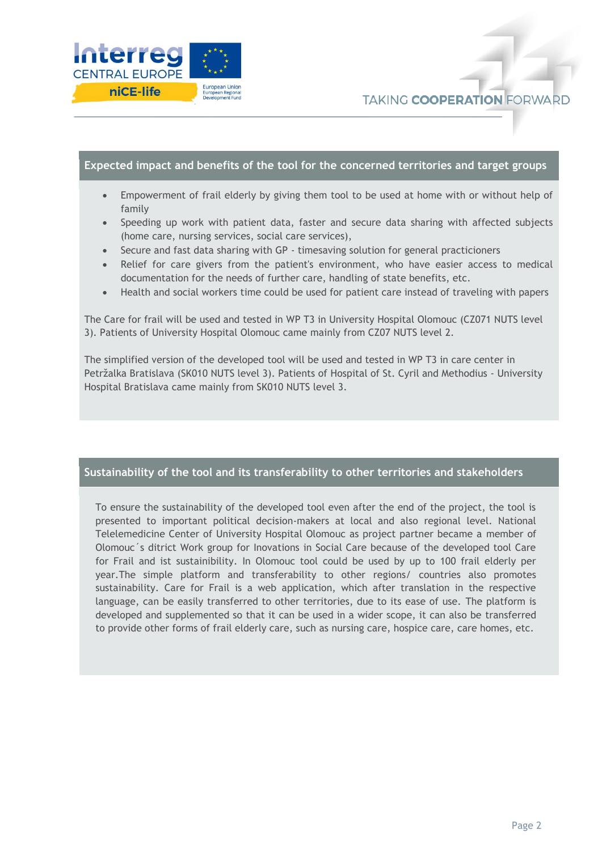

## **Expected impact and benefits of the tool for the concerned territories and target groups**

- Empowerment of frail elderly by giving them tool to be used at home with or without help of family
- Speeding up work with patient data, faster and secure data sharing with affected subjects (home care, nursing services, social care services),
- Secure and fast data sharing with GP timesaving solution for general practicioners
- Relief for care givers from the patient's environment, who have easier access to medical documentation for the needs of further care, handling of state benefits, etc.
- Health and social workers time could be used for patient care instead of traveling with papers

The Care for frail will be used and tested in WP T3 in University Hospital Olomouc (CZ071 NUTS level 3). Patients of University Hospital Olomouc came mainly from CZ07 NUTS level 2.

The simplified version of the developed tool will be used and tested in WP T3 in care center in Petržalka Bratislava (SK010 NUTS level 3). Patients of Hospital of St. Cyril and Methodius - University Hospital Bratislava came mainly from SK010 NUTS level 3.

## **Sustainability of the tool and its transferability to other territories and stakeholders**

To ensure the sustainability of the developed tool even after the end of the project, the tool is presented to important political decision-makers at local and also regional level. National Telelemedicine Center of University Hospital Olomouc as project partner became a member of Olomouc´s ditrict Work group for Inovations in Social Care because of the developed tool Care for Frail and ist sustainibility. In Olomouc tool could be used by up to 100 frail elderly per year.The simple platform and transferability to other regions/ countries also promotes sustainability. Care for Frail is a web application, which after translation in the respective language, can be easily transferred to other territories, due to its ease of use. The platform is developed and supplemented so that it can be used in a wider scope, it can also be transferred to provide other forms of frail elderly care, such as nursing care, hospice care, care homes, etc.